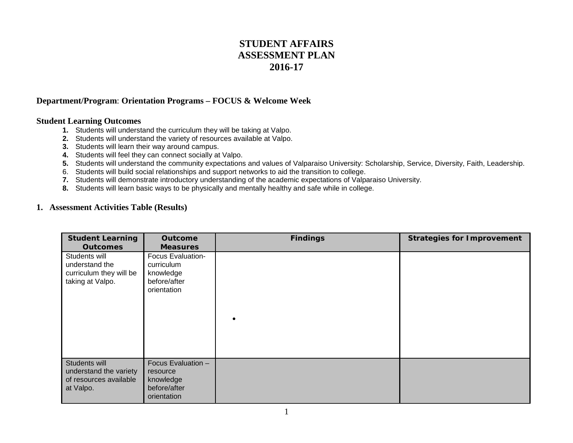## **STUDENT AFFAIRS ASSESSMENT PLAN 2016-17**

## **Department/Program**: **Orientation Programs – FOCUS & Welcome Week**

## **Student Learning Outcomes**

- **1.** Students will understand the curriculum they will be taking at Valpo.
- **2.** Students will understand the variety of resources available at Valpo.
- **3.** Students will learn their way around campus.
- **4.** Students will feel they can connect socially at Valpo.
- **5.** Students will understand the community expectations and values of Valparaiso University: Scholarship, Service, Diversity, Faith, Leadership.
- 6. Students will build social relationships and support networks to aid the transition to college.
- **7.** Students will demonstrate introductory understanding of the academic expectations of Valparaiso University.
- **8.** Students will learn basic ways to be physically and mentally healthy and safe while in college.

## **1. Assessment Activities Table (Results)**

| <b>Student Learning</b><br><b>Outcomes</b>                                     | <b>Outcome</b><br><b>Measures</b>                                                  | <b>Findings</b> | <b>Strategies for Improvement</b> |
|--------------------------------------------------------------------------------|------------------------------------------------------------------------------------|-----------------|-----------------------------------|
| Students will<br>understand the<br>curriculum they will be<br>taking at Valpo. | <b>Focus Evaluation-</b><br>curriculum<br>knowledge<br>before/after<br>orientation |                 |                                   |
| Students will<br>understand the variety<br>of resources available<br>at Valpo. | Focus Evaluation -<br>resource<br>knowledge<br>before/after<br>orientation         |                 |                                   |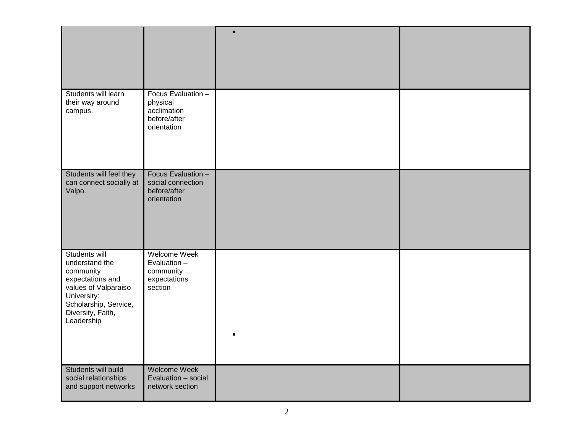|                                                                                                                                                                     |                                                                              | $\bullet$ |  |
|---------------------------------------------------------------------------------------------------------------------------------------------------------------------|------------------------------------------------------------------------------|-----------|--|
| Students will learn<br>their way around<br>campus.                                                                                                                  | Focus Evaluation -<br>physical<br>acclimation<br>before/after<br>orientation |           |  |
| Students will feel they<br>can connect socially at<br>Valpo.                                                                                                        | Focus Evaluation -<br>social connection<br>before/after<br>orientation       |           |  |
| Students will<br>understand the<br>community<br>expectations and<br>values of Valparaiso<br>University:<br>Scholarship, Service,<br>Diversity, Faith,<br>Leadership | Welcome Week<br>Evaluation -<br>community<br>expectations<br>section         |           |  |
| Students will build<br>social relationships<br>and support networks                                                                                                 | Welcome Week<br>Evaluation - social<br>network section                       |           |  |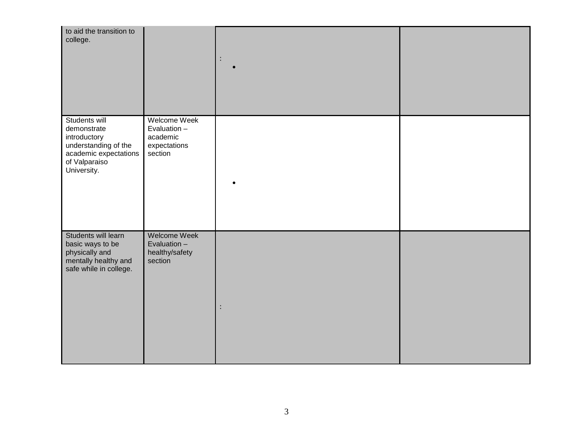| to aid the transition to<br>college.                                                                                          |                                                                     |  |
|-------------------------------------------------------------------------------------------------------------------------------|---------------------------------------------------------------------|--|
| Students will<br>demonstrate<br>introductory<br>understanding of the<br>academic expectations<br>of Valparaiso<br>University. | Welcome Week<br>Evaluation -<br>academic<br>expectations<br>section |  |
| Students will learn<br>basic ways to be<br>physically and<br>mentally healthy and<br>safe while in college.                   | Welcome Week<br>Evaluation -<br>healthy/safety<br>section           |  |